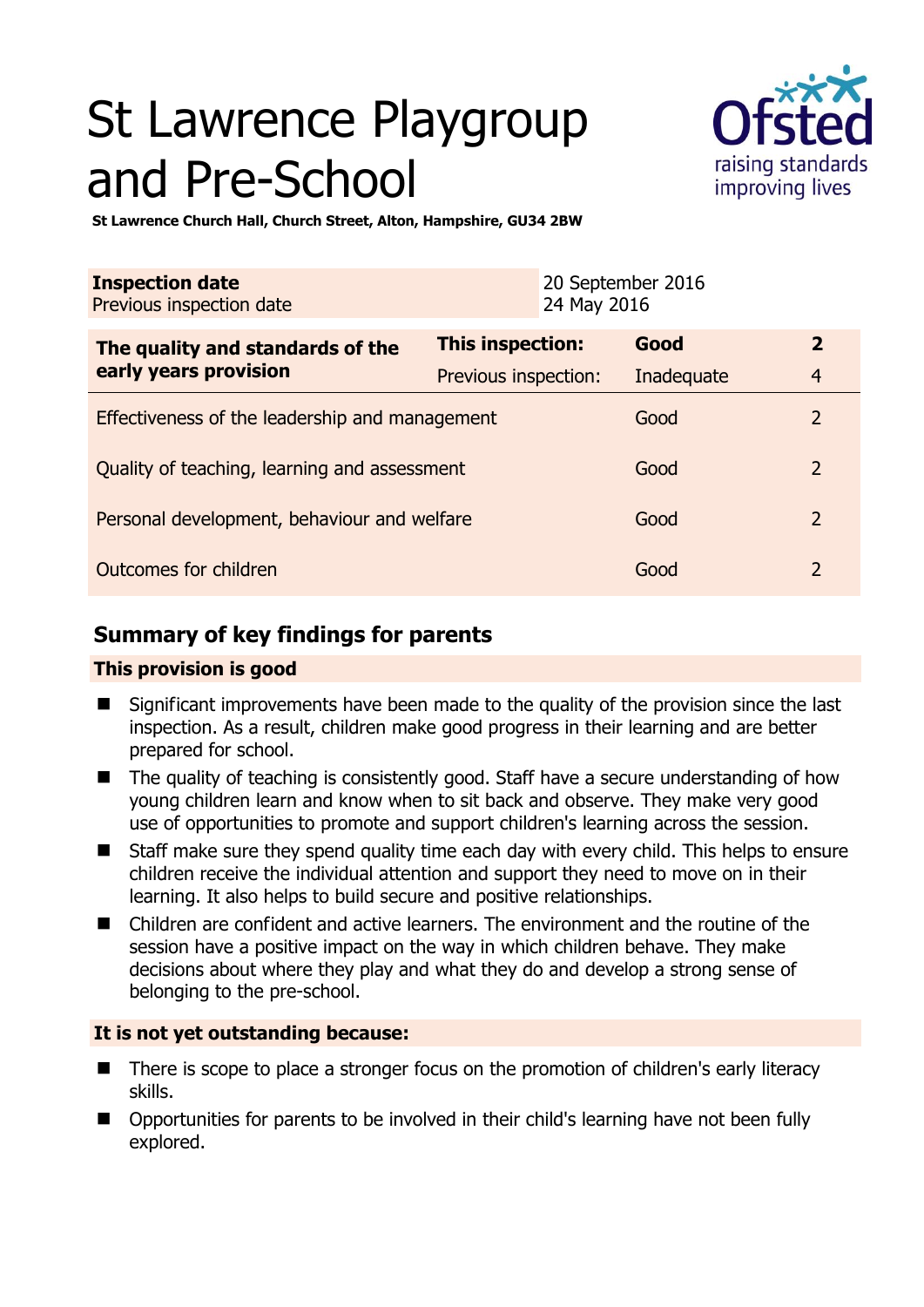# St Lawrence Playgroup and Pre-School



**St Lawrence Church Hall, Church Street, Alton, Hampshire, GU34 2BW** 

| <b>Inspection date</b><br>Previous inspection date        |                      | 20 September 2016<br>24 May 2016 |            |                |
|-----------------------------------------------------------|----------------------|----------------------------------|------------|----------------|
| The quality and standards of the<br>early years provision | This inspection:     |                                  | Good       | $\overline{2}$ |
|                                                           | Previous inspection: |                                  | Inadequate | $\overline{4}$ |
| Effectiveness of the leadership and management            |                      |                                  | Good       | $\overline{2}$ |
| Quality of teaching, learning and assessment              |                      |                                  | Good       | $\overline{2}$ |
| Personal development, behaviour and welfare               |                      |                                  | Good       | $\overline{2}$ |
| Outcomes for children                                     |                      |                                  | Good       | $\overline{2}$ |

# **Summary of key findings for parents**

# **This provision is good**

- Significant improvements have been made to the quality of the provision since the last inspection. As a result, children make good progress in their learning and are better prepared for school.
- The quality of teaching is consistently good. Staff have a secure understanding of how young children learn and know when to sit back and observe. They make very good use of opportunities to promote and support children's learning across the session.
- Staff make sure they spend quality time each day with every child. This helps to ensure children receive the individual attention and support they need to move on in their learning. It also helps to build secure and positive relationships.
- Children are confident and active learners. The environment and the routine of the session have a positive impact on the way in which children behave. They make decisions about where they play and what they do and develop a strong sense of belonging to the pre-school.

# **It is not yet outstanding because:**

- There is scope to place a stronger focus on the promotion of children's early literacy skills.
- Opportunities for parents to be involved in their child's learning have not been fully explored.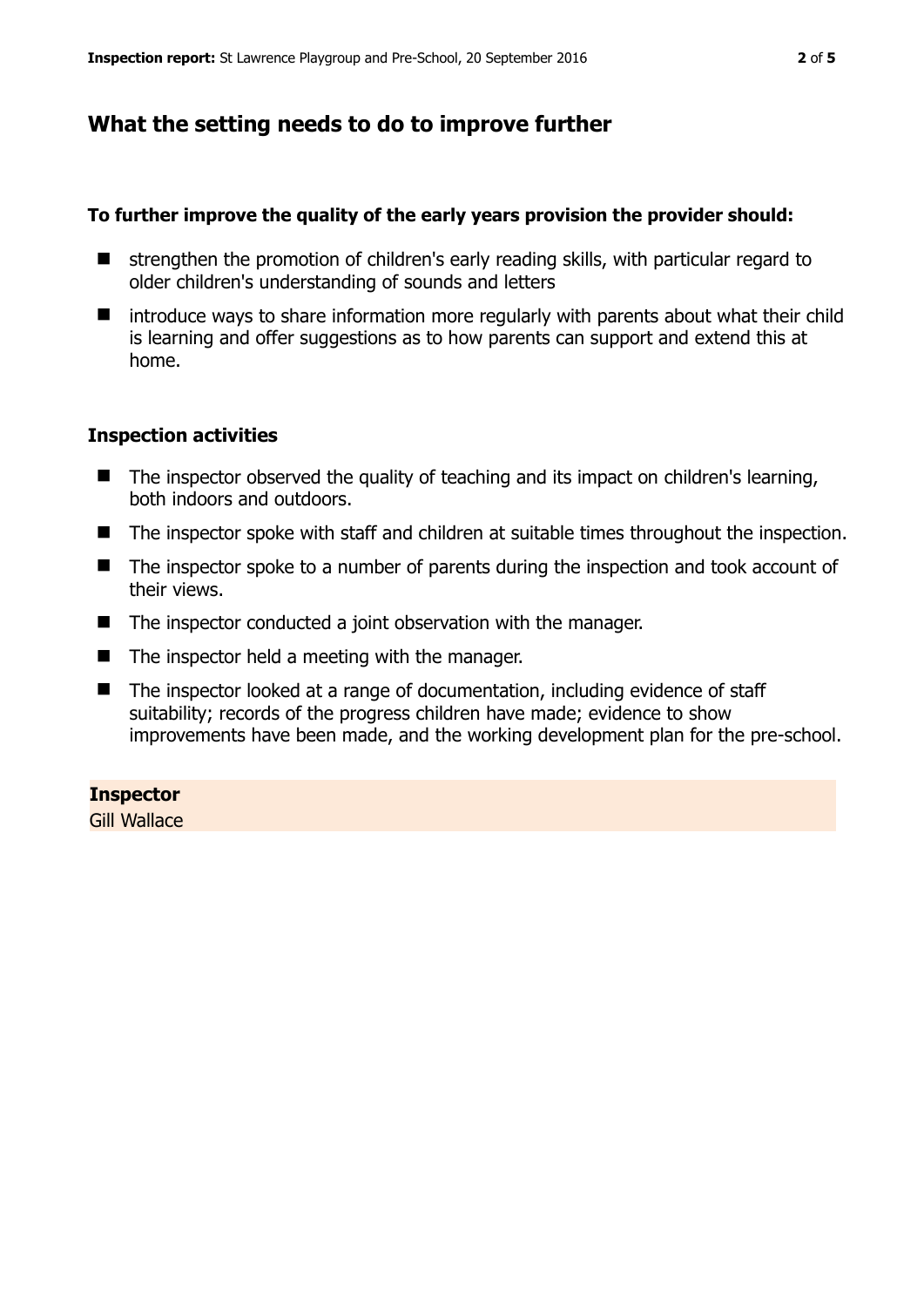# **What the setting needs to do to improve further**

### **To further improve the quality of the early years provision the provider should:**

- $\blacksquare$  strengthen the promotion of children's early reading skills, with particular regard to older children's understanding of sounds and letters
- $\blacksquare$  introduce ways to share information more regularly with parents about what their child is learning and offer suggestions as to how parents can support and extend this at home.

## **Inspection activities**

- The inspector observed the quality of teaching and its impact on children's learning, both indoors and outdoors.
- The inspector spoke with staff and children at suitable times throughout the inspection.
- The inspector spoke to a number of parents during the inspection and took account of their views.
- The inspector conducted a joint observation with the manager.
- $\blacksquare$  The inspector held a meeting with the manager.
- The inspector looked at a range of documentation, including evidence of staff suitability; records of the progress children have made; evidence to show improvements have been made, and the working development plan for the pre-school.

#### **Inspector**

Gill Wallace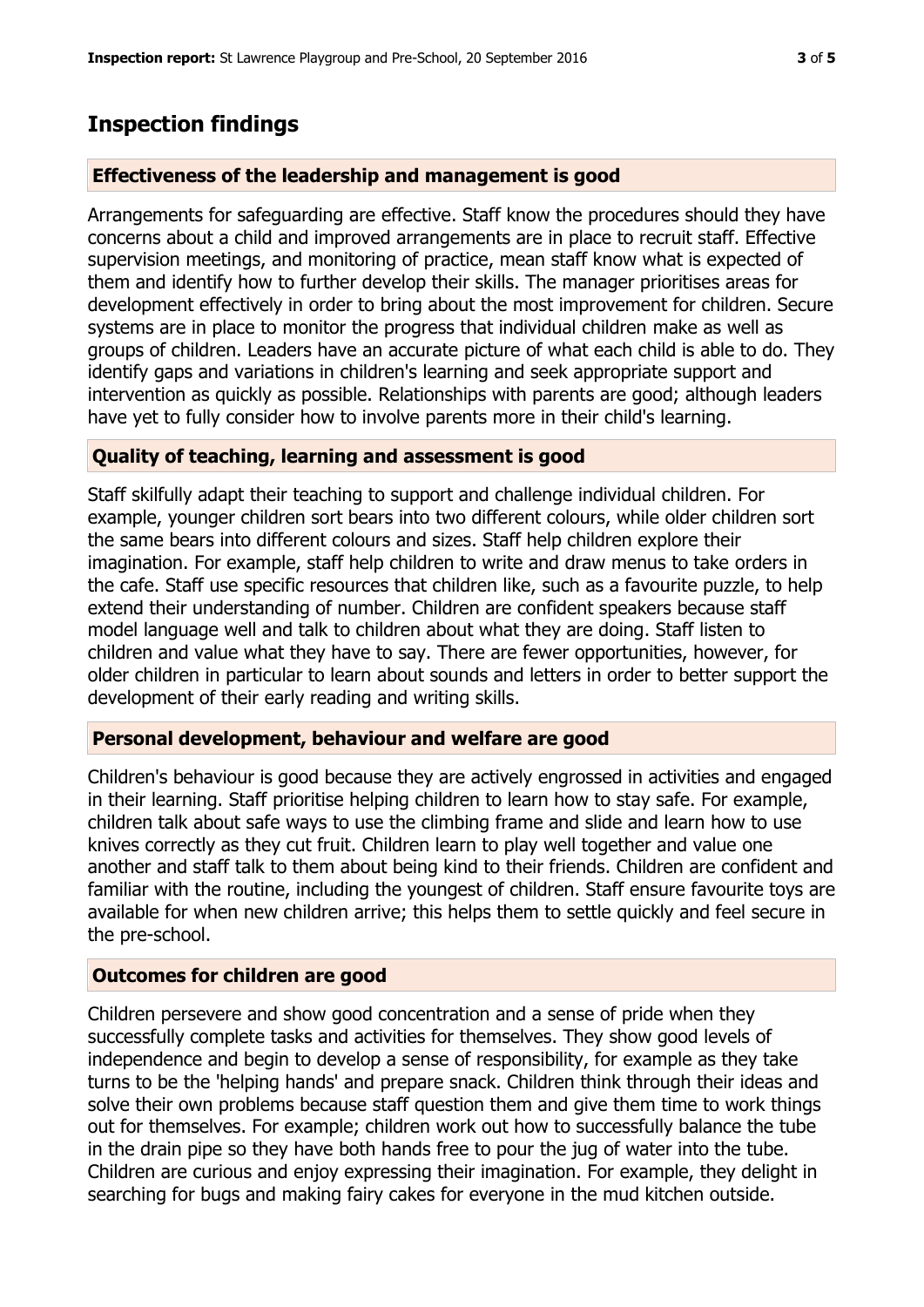# **Inspection findings**

## **Effectiveness of the leadership and management is good**

Arrangements for safeguarding are effective. Staff know the procedures should they have concerns about a child and improved arrangements are in place to recruit staff. Effective supervision meetings, and monitoring of practice, mean staff know what is expected of them and identify how to further develop their skills. The manager prioritises areas for development effectively in order to bring about the most improvement for children. Secure systems are in place to monitor the progress that individual children make as well as groups of children. Leaders have an accurate picture of what each child is able to do. They identify gaps and variations in children's learning and seek appropriate support and intervention as quickly as possible. Relationships with parents are good; although leaders have yet to fully consider how to involve parents more in their child's learning.

# **Quality of teaching, learning and assessment is good**

Staff skilfully adapt their teaching to support and challenge individual children. For example, younger children sort bears into two different colours, while older children sort the same bears into different colours and sizes. Staff help children explore their imagination. For example, staff help children to write and draw menus to take orders in the cafe. Staff use specific resources that children like, such as a favourite puzzle, to help extend their understanding of number. Children are confident speakers because staff model language well and talk to children about what they are doing. Staff listen to children and value what they have to say. There are fewer opportunities, however, for older children in particular to learn about sounds and letters in order to better support the development of their early reading and writing skills.

## **Personal development, behaviour and welfare are good**

Children's behaviour is good because they are actively engrossed in activities and engaged in their learning. Staff prioritise helping children to learn how to stay safe. For example, children talk about safe ways to use the climbing frame and slide and learn how to use knives correctly as they cut fruit. Children learn to play well together and value one another and staff talk to them about being kind to their friends. Children are confident and familiar with the routine, including the youngest of children. Staff ensure favourite toys are available for when new children arrive; this helps them to settle quickly and feel secure in the pre-school.

## **Outcomes for children are good**

Children persevere and show good concentration and a sense of pride when they successfully complete tasks and activities for themselves. They show good levels of independence and begin to develop a sense of responsibility, for example as they take turns to be the 'helping hands' and prepare snack. Children think through their ideas and solve their own problems because staff question them and give them time to work things out for themselves. For example; children work out how to successfully balance the tube in the drain pipe so they have both hands free to pour the jug of water into the tube. Children are curious and enjoy expressing their imagination. For example, they delight in searching for bugs and making fairy cakes for everyone in the mud kitchen outside.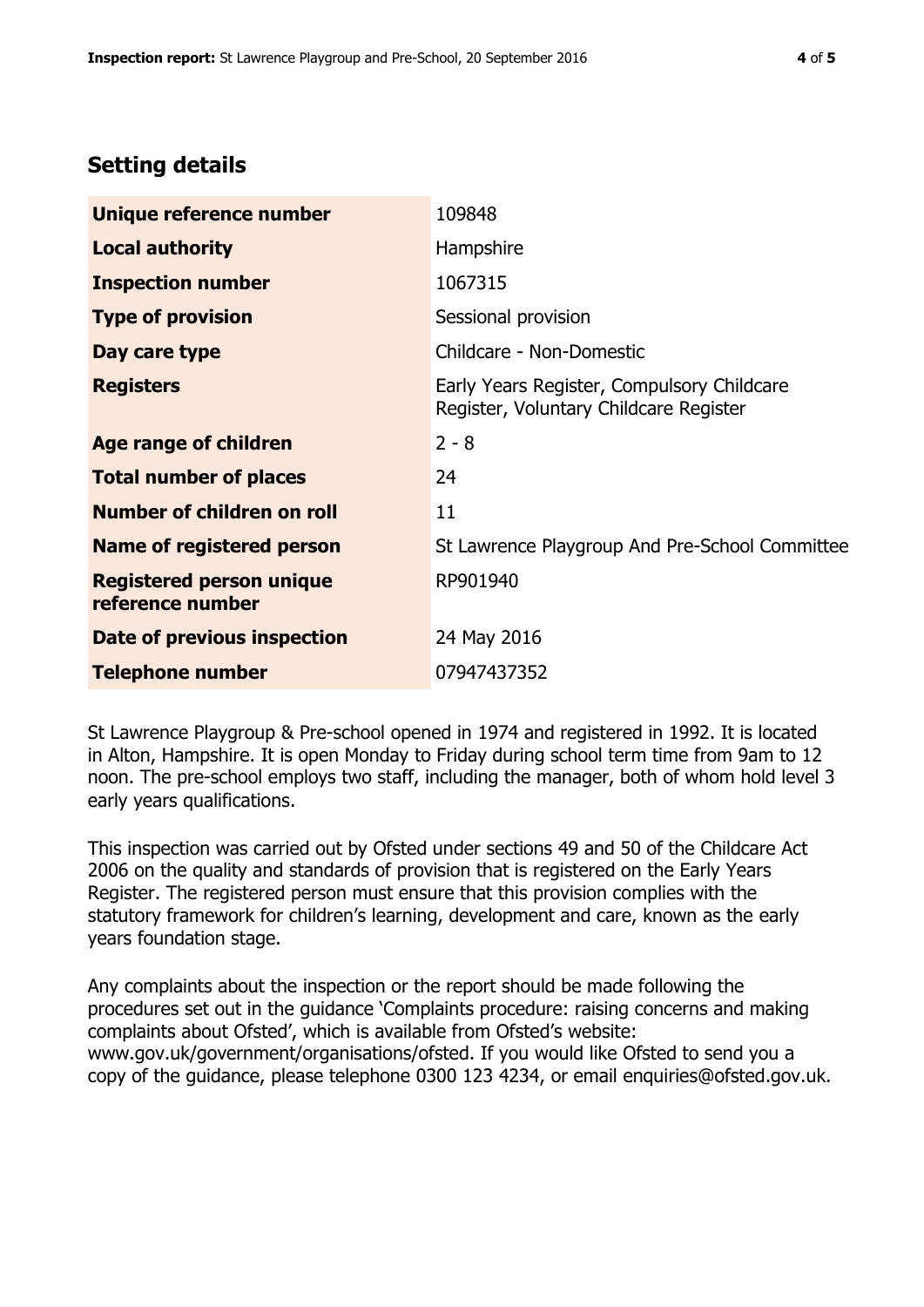# **Setting details**

| Unique reference number                             | 109848                                                                               |  |
|-----------------------------------------------------|--------------------------------------------------------------------------------------|--|
| <b>Local authority</b>                              | Hampshire                                                                            |  |
| <b>Inspection number</b>                            | 1067315                                                                              |  |
| <b>Type of provision</b>                            | Sessional provision                                                                  |  |
| Day care type                                       | Childcare - Non-Domestic                                                             |  |
| <b>Registers</b>                                    | Early Years Register, Compulsory Childcare<br>Register, Voluntary Childcare Register |  |
| Age range of children                               | $2 - 8$                                                                              |  |
| <b>Total number of places</b>                       | 24                                                                                   |  |
| Number of children on roll                          | 11                                                                                   |  |
| <b>Name of registered person</b>                    | St Lawrence Playgroup And Pre-School Committee                                       |  |
| <b>Registered person unique</b><br>reference number | RP901940                                                                             |  |
| Date of previous inspection                         | 24 May 2016                                                                          |  |
| <b>Telephone number</b>                             | 07947437352                                                                          |  |

St Lawrence Playgroup & Pre-school opened in 1974 and registered in 1992. It is located in Alton, Hampshire. It is open Monday to Friday during school term time from 9am to 12 noon. The pre-school employs two staff, including the manager, both of whom hold level 3 early years qualifications.

This inspection was carried out by Ofsted under sections 49 and 50 of the Childcare Act 2006 on the quality and standards of provision that is registered on the Early Years Register. The registered person must ensure that this provision complies with the statutory framework for children's learning, development and care, known as the early years foundation stage.

Any complaints about the inspection or the report should be made following the procedures set out in the guidance 'Complaints procedure: raising concerns and making complaints about Ofsted', which is available from Ofsted's website: www.gov.uk/government/organisations/ofsted. If you would like Ofsted to send you a copy of the guidance, please telephone 0300 123 4234, or email enquiries@ofsted.gov.uk.